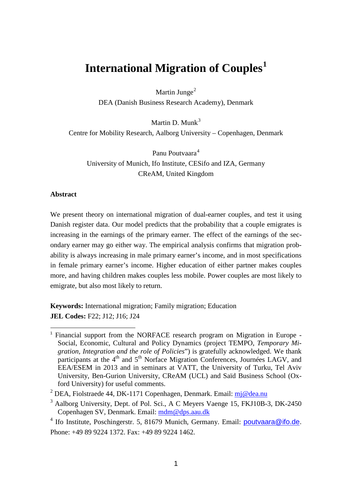# **International Migration of Couples[1](#page-0-0)**

Martin Junge<sup>[2](#page-0-1)</sup>

DEA (Danish Business Research Academy), Denmark

Martin D. Munk $3$ Centre for Mobility Research, Aalborg University – Copenhagen, Denmark

Panu Poutvaara<sup>[4](#page-0-3)</sup> University of Munich, Ifo Institute, CESifo and IZA, Germany CReAM, United Kingdom

# **Abstract**

We present theory on international migration of dual-earner couples, and test it using Danish register data. Our model predicts that the probability that a couple emigrates is increasing in the earnings of the primary earner. The effect of the earnings of the secondary earner may go either way. The empirical analysis confirms that migration probability is always increasing in male primary earner's income, and in most specifications in female primary earner's income. Higher education of either partner makes couples more, and having children makes couples less mobile. Power couples are most likely to emigrate, but also most likely to return.

**Keywords:** International migration; Family migration; Education **JEL Codes:** F22; J12; J16; J24

<span id="page-0-0"></span><sup>&</sup>lt;sup>1</sup> Financial support from the NORFACE research program on Migration in Europe -Social, Economic, Cultural and Policy Dynamics (project TEMPO, *Temporary Migration, Integration and the role of Policies*") is gratefully acknowledged. We thank participants at the 4<sup>th</sup> and 5<sup>th</sup> Norface Migration Conferences, Journées LAGV, and EEA/ESEM in 2013 and in seminars at VATT, the University of Turku, Tel Aviv University, Ben-Gurion University, CReAM (UCL) and Saïd Business School (Oxford University) for useful comments.

<span id="page-0-1"></span><sup>&</sup>lt;sup>2</sup> DEA, Fiolstraede 44, DK-1171 Copenhagen, Denmark. Email:  $m$ j@dea.nu

<span id="page-0-2"></span><sup>&</sup>lt;sup>3</sup> Aalborg University, Dept. of Pol. Sci., A C Meyers Vaenge 15, FKJ10B-3, DK-2450 Copenhagen SV, Denmark. Email: [mdm@dps.aau.dk](mailto:mdm@dps.aau.dk)

<span id="page-0-4"></span><span id="page-0-3"></span><sup>&</sup>lt;sup>4</sup> Ifo Institute, Poschingerstr. 5, 81679 Munich, Germany. Email: **poutvaara@ifo.de**. Phone: +49 89 9224 1372. Fax: +49 89 9224 1462.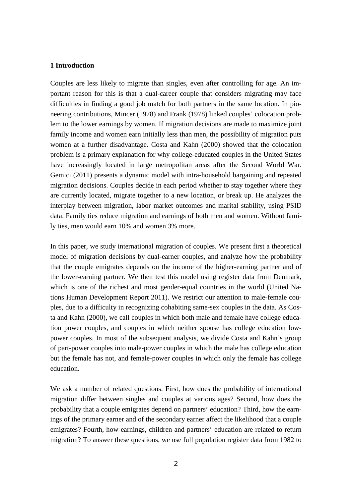# **1 Introduction**

Couples are less likely to migrate than singles, even after controlling for age. An important reason for this is that a dual-career couple that considers migrating may face difficulties in finding a good job match for both partners in the same location. In pioneering contributions, Mincer (1978) and Frank (1978) linked couples' colocation problem to the lower earnings by women. If migration decisions are made to maximize joint family income and women earn initially less than men, the possibility of migration puts women at a further disadvantage. Costa and Kahn (2000) showed that the colocation problem is a primary explanation for why college-educated couples in the United States have increasingly located in large metropolitan areas after the Second World War. Gemici (2011) presents a dynamic model with intra-household bargaining and repeated migration decisions. Couples decide in each period whether to stay together where they are currently located, migrate together to a new location, or break up. He analyzes the interplay between migration, labor market outcomes and marital stability, using PSID data. Family ties reduce migration and earnings of both men and women. Without family ties, men would earn 10% and women 3% more.

In this paper, we study international migration of couples. We present first a theoretical model of migration decisions by dual-earner couples, and analyze how the probability that the couple emigrates depends on the income of the higher-earning partner and of the lower-earning partner. We then test this model using register data from Denmark, which is one of the richest and most gender-equal countries in the world (United Nations Human Development Report 2011). We restrict our attention to male-female couples, due to a difficulty in recognizing cohabiting same-sex couples in the data. As Costa and Kahn (2000), we call couples in which both male and female have college education power couples, and couples in which neither spouse has college education lowpower couples. In most of the subsequent analysis, we divide Costa and Kahn's group of part-power couples into male-power couples in which the male has college education but the female has not, and female-power couples in which only the female has college education.

We ask a number of related questions. First, how does the probability of international migration differ between singles and couples at various ages? Second, how does the probability that a couple emigrates depend on partners' education? Third, how the earnings of the primary earner and of the secondary earner affect the likelihood that a couple emigrates? Fourth, how earnings, children and partners' education are related to return migration? To answer these questions, we use full population register data from 1982 to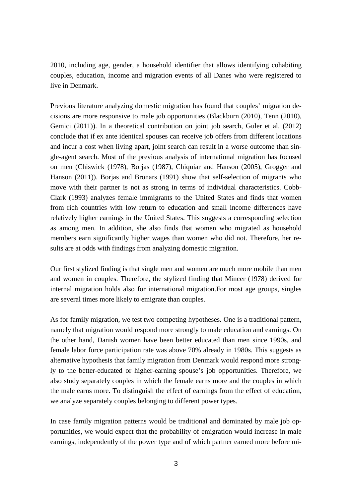2010, including age, gender, a household identifier that allows identifying cohabiting couples, education, income and migration events of all Danes who were registered to live in Denmark.

Previous literature analyzing domestic migration has found that couples' migration decisions are more responsive to male job opportunities (Blackburn (2010), Tenn (2010), Gemici (2011)). In a theoretical contribution on joint job search, Guler et al. (2012) conclude that if ex ante identical spouses can receive job offers from different locations and incur a cost when living apart, joint search can result in a worse outcome than single-agent search. Most of the previous analysis of international migration has focused on men (Chiswick (1978), Borjas (1987), Chiquiar and Hanson (2005), Grogger and Hanson (2011)). Borjas and Bronars (1991) show that self-selection of migrants who move with their partner is not as strong in terms of individual characteristics. Cobb-Clark (1993) analyzes female immigrants to the United States and finds that women from rich countries with low return to education and small income differences have relatively higher earnings in the United States. This suggests a corresponding selection as among men. In addition, she also finds that women who migrated as household members earn significantly higher wages than women who did not. Therefore, her results are at odds with findings from analyzing domestic migration.

Our first stylized finding is that single men and women are much more mobile than men and women in couples. Therefore, the stylized finding that Mincer (1978) derived for internal migration holds also for international migration.For most age groups, singles are several times more likely to emigrate than couples.

As for family migration, we test two competing hypotheses. One is a traditional pattern, namely that migration would respond more strongly to male education and earnings. On the other hand, Danish women have been better educated than men since 1990s, and female labor force participation rate was above 70% already in 1980s. This suggests as alternative hypothesis that family migration from Denmark would respond more strongly to the better-educated or higher-earning spouse's job opportunities. Therefore, we also study separately couples in which the female earns more and the couples in which the male earns more. To distinguish the effect of earnings from the effect of education, we analyze separately couples belonging to different power types.

In case family migration patterns would be traditional and dominated by male job opportunities, we would expect that the probability of emigration would increase in male earnings, independently of the power type and of which partner earned more before mi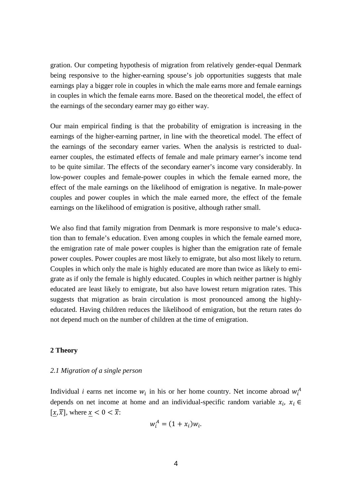gration. Our competing hypothesis of migration from relatively gender-equal Denmark being responsive to the higher-earning spouse's job opportunities suggests that male earnings play a bigger role in couples in which the male earns more and female earnings in couples in which the female earns more. Based on the theoretical model, the effect of the earnings of the secondary earner may go either way.

Our main empirical finding is that the probability of emigration is increasing in the earnings of the higher-earning partner, in line with the theoretical model. The effect of the earnings of the secondary earner varies. When the analysis is restricted to dualearner couples, the estimated effects of female and male primary earner's income tend to be quite similar. The effects of the secondary earner's income vary considerably. In low-power couples and female-power couples in which the female earned more, the effect of the male earnings on the likelihood of emigration is negative. In male-power couples and power couples in which the male earned more, the effect of the female earnings on the likelihood of emigration is positive, although rather small.

We also find that family migration from Denmark is more responsive to male's education than to female's education. Even among couples in which the female earned more, the emigration rate of male power couples is higher than the emigration rate of female power couples. Power couples are most likely to emigrate, but also most likely to return. Couples in which only the male is highly educated are more than twice as likely to emigrate as if only the female is highly educated. Couples in which neither partner is highly educated are least likely to emigrate, but also have lowest return migration rates. This suggests that migration as brain circulation is most pronounced among the highlyeducated. Having children reduces the likelihood of emigration, but the return rates do not depend much on the number of children at the time of emigration.

#### **2 Theory**

## *2.1 Migration of a single person*

Individual *i* earns net income  $w_i$  in his or her home country. Net income abroad  $w_i^A$ depends on net income at home and an individual-specific random variable  $x_i$ ,  $x_i \in$  $[x, \overline{x}]$ , where  $x < 0 < \overline{x}$ :

$$
w_i^A = (1 + x_i)w_i.
$$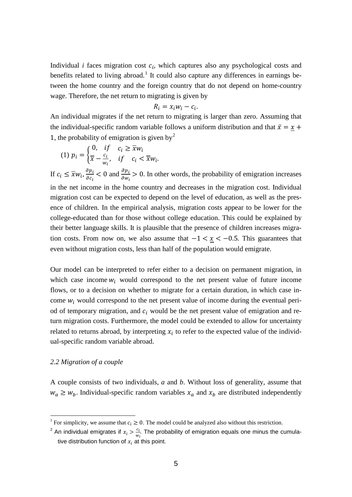Individual  $i$  faces migration cost  $c_i$ , which captures also any psychological costs and benefits related to living abroad.<sup>[1](#page-0-4)</sup> It could also capture any differences in earnings between the home country and the foreign country that do not depend on home-country wage. Therefore, the net return to migrating is given by

$$
R_i = x_i w_i - c_i.
$$

An individual migrates if the net return to migrating is larger than zero. Assuming that the individual-specific random variable follows a uniform distribution and that  $\bar{x} = x +$ 1, the probability of emigration is given by<sup>[2](#page-4-0)</sup>

$$
(1) \ p_i = \begin{cases} 0, & \text{if } c_i \geq \overline{x}w_i \\ \overline{x} - \frac{c_i}{w_i}, & \text{if } c_i < \overline{x}w_i. \end{cases}
$$

If  $c_i \leq \overline{x} w_i$ ,  $\frac{\partial p_i}{\partial c_i}$  $\frac{\partial p_i}{\partial c_i}$  < 0 and  $\frac{\partial p_i}{\partial w_i}$  > 0. In other words, the probability of emigration increases in the net income in the home country and decreases in the migration cost. Individual migration cost can be expected to depend on the level of education, as well as the presence of children. In the empirical analysis, migration costs appear to be lower for the college-educated than for those without college education. This could be explained by their better language skills. It is plausible that the presence of children increases migration costs. From now on, we also assume that  $-1 < x < -0.5$ . This guarantees that even without migration costs, less than half of the population would emigrate.

Our model can be interpreted to refer either to a decision on permanent migration, in which case income  $w_i$  would correspond to the net present value of future income flows, or to a decision on whether to migrate for a certain duration, in which case income  $w_i$  would correspond to the net present value of income during the eventual period of temporary migration, and  $c_i$  would be the net present value of emigration and return migration costs. Furthermore, the model could be extended to allow for uncertainty related to returns abroad, by interpreting  $x_i$  to refer to the expected value of the individual-specific random variable abroad.

### *2.2 Migration of a couple*

A couple consists of two individuals, *a* and *b*. Without loss of generality, assume that  $w_a \geq w_b$ . Individual-specific random variables  $x_a$  and  $x_b$  are distributed independently

<span id="page-4-1"></span><sup>&</sup>lt;sup>1</sup> For simplicity, we assume that  $c_i \geq 0$ . The model could be analyzed also without this restriction.

<span id="page-4-0"></span><sup>&</sup>lt;sup>2</sup> An individual emigrates if  $x_i > \frac{c_i}{w_i}$ . The probability of emigration equals one minus the cumulative distribution function of  $x_i$  at this point.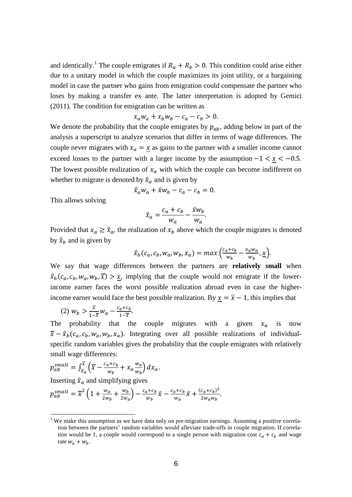and identically.<sup>[1](#page-4-1)</sup> The couple emigrates if  $R_a + R_b > 0$ . This condition could arise either due to a unitary model in which the couple maximizes its joint utility, or a bargaining model in case the partner who gains from emigration could compensate the partner who loses by making a transfer ex ante. The latter interpretation is adopted by Gemici (2011). The condition for emigration can be written as

$$
x_a w_a + x_b w_b - c_a - c_b > 0.
$$

We denote the probability that the couple emigrates by  $p_{ab}$ , adding below in part of the analysis a superscript to analyze scenarios that differ in terms of wage differences. The couple never migrates with  $x_a = \underline{x}$  as gains to the partner with a smaller income cannot exceed losses to the partner with a larger income by the assumption  $-1 < x < -0.5$ . The lowest possible realization of  $x_a$  with which the couple can become indifferent on whether to migrate is denoted by  $\hat{x}_a$  and is given by

$$
\hat{x}_a w_a + \bar{x} w_b - c_a - c_b = 0.
$$

This allows solving

$$
\hat{x}_a = \frac{c_a + c_b}{w_a} - \frac{\bar{x}w_b}{w_a}.
$$

Provided that  $x_a \geq \hat{x}_a$ , the realization of  $x_b$  above which the couple migrates is denoted by  $\hat{x}_b$  and is given by

$$
\hat{x}_b(c_a, c_b, w_a, w_b, x_a) = max\left(\frac{c_a + c_b}{w_b} - \frac{x_a w_a}{w_b}, \underline{x}\right).
$$

We say that wage differences between the partners are **relatively small** when  $\hat{x}_b(c_a, c_b, w_a, w_b, \overline{x}) > \underline{x}$ , implying that the couple would not emigrate if the lowerincome earner faces the worst possible realization abroad even in case the higherincome earner would face the best possible realization. By  $\underline{x} = \overline{x} - 1$ , this implies that

$$
(2) \ w_b > \frac{\overline{x}}{1-\overline{x}} w_a - \frac{c_a + c_b}{1-\overline{x}}.
$$

The probability that the couple migrates with a given  $x_a$  is now  $\overline{x} - \hat{x}_b(c_a, c_b, w_a, w_b, x_a)$ . Integrating over all possible realizations of individualspecific random variables gives the probability that the couple emigrates with relatively small wage differences:

$$
p_{ab}^{small} = \int_{\hat{x}_a}^{\overline{x}} \left( \overline{x} - \frac{c_a + c_b}{w_b} + x_a \frac{w_a}{w_b} \right) dx_a.
$$

Inserting  $\hat{x}_a$  and simplifying gives

<span id="page-5-0"></span>
$$
p_{ab}^{small} = \overline{x}^2 \left( 1 + \frac{w_a}{2w_b} + \frac{w_b}{2w_a} \right) - \frac{c_a + c_b}{w_b} \overline{x} - \frac{c_a + c_b}{w_a} \overline{x} + \frac{(c_a + c_b)^2}{2w_a w_b}.
$$

<sup>&</sup>lt;sup>1</sup> We make this assumption as we have data only on pre-migration earnings. Assuming a positive correlation between the partners' random variables would alleviate trade-offs in couple migration. If correlation would be 1, a couple would correspond to a single person with migration cost  $c_a + c_b$  and wage rate  $w_a + w_b$ .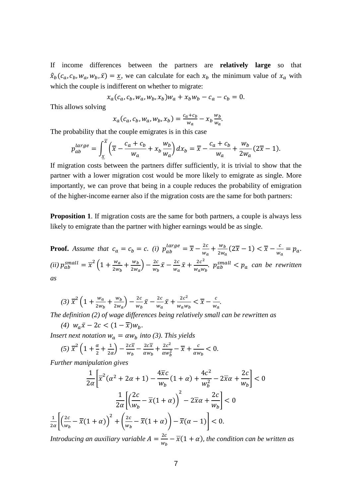If income differences between the partners are **relatively large** so that  $\hat{x}_b(c_a, c_b, w_a, w_b, \bar{x}) = \underline{x}$ , we can calculate for each  $x_b$  the minimum value of  $x_a$  with which the couple is indifferent on whether to migrate:

 $x_a(c_a, c_b, w_a, w_b, x_b) w_a + x_b w_b - c_a - c_b = 0.$ 

This allows solving

$$
x_a(c_a, c_b, w_a, w_b, x_b) = \frac{c_a + c_b}{w_a} - x_b \frac{w_b}{w_a}.
$$

The probability that the couple emigrates is in this case

$$
p_{ab}^{large} = \int_{\underline{x}}^{x} \left( \overline{x} - \frac{c_a + c_b}{w_a} + x_b \frac{w_b}{w_a} \right) dx_b = \overline{x} - \frac{c_a + c_b}{w_a} + \frac{w_b}{2w_a} (2\overline{x} - 1).
$$

If migration costs between the partners differ sufficiently, it is trivial to show that the partner with a lower migration cost would be more likely to emigrate as single. More importantly, we can prove that being in a couple reduces the probability of emigration of the higher-income earner also if the migration costs are the same for both partners:

**Proposition 1.** If migration costs are the same for both partners, a couple is always less likely to emigrate than the partner with higher earnings would be as single.

**Proof.** Assume that  $c_a = c_b = c$ . *(i)*  $p_{ab}^{large} = \overline{x} - \frac{2c}{w_a} + \frac{w_b}{2w_a}(2\overline{x} - 1) < \overline{x} - \frac{c}{w_a} = p_a$ . (*ii*)  $p_{ab}^{small} = \overline{x}^2 \left( 1 + \frac{w_a}{2w_b} + \frac{w_b}{2w_a} \right) - \frac{2c}{w_b} \overline{x} - \frac{2c}{w_a} \overline{x} + \frac{2c^2}{w_a w_b}$ .  $p_{ab}^{small} < p_a$  can be rewritten *as*

$$
(3)\ \overline{x}^2\left(1+\frac{w_a}{2w_b}+\frac{w_b}{2w_a}\right)-\frac{2c}{w_b}\bar{x}-\frac{2c}{w_a}\bar{x}+\frac{2c^2}{w_a w_b}<\overline{x}-\frac{c}{w_a}.
$$

*The definition (2) of wage differences being relatively small can be rewritten as*

*(4)*  $w_a\bar{x} - 2c < (1 - \overline{x})w_b$ .

*Insert next notation*  $w_a = \alpha w_b$  *into* (3). This yields

$$
(5) \ \overline{x}^2 \left(1 + \frac{\alpha}{2} + \frac{1}{2\alpha}\right) - \frac{2c\overline{x}}{w_b} - \frac{2c\overline{x}}{\alpha w_b} + \frac{2c^2}{\alpha w_b^2} - \overline{x} + \frac{c}{\alpha w_b} < 0.
$$

*Further manipulation gives*

$$
\frac{1}{2\alpha} \left[ \overline{x}^2 (\alpha^2 + 2\alpha + 1) - \frac{4\overline{x}c}{w_b} (1 + \alpha) + \frac{4c^2}{w_b^2} - 2\overline{x}\alpha + \frac{2c}{w_b} \right] < 0
$$

$$
\frac{1}{2\alpha} \left[ \left( \frac{2c}{w_b} - \overline{x} (1 + \alpha) \right)^2 - 2\overline{x}\alpha + \frac{2c}{w_b} \right] < 0
$$

$$
\frac{1}{2\alpha} \left[ \left( \frac{2c}{w_b} - \overline{x} (1 + \alpha) \right)^2 + \left( \frac{2c}{w_b} - \overline{x} (1 + \alpha) \right) - \overline{x} (\alpha - 1) \right] < 0.
$$

*Introducing an auxiliary variable*  $A = \frac{2c}{w_b} - \overline{x}(1 + \alpha)$ , *the condition can be written as*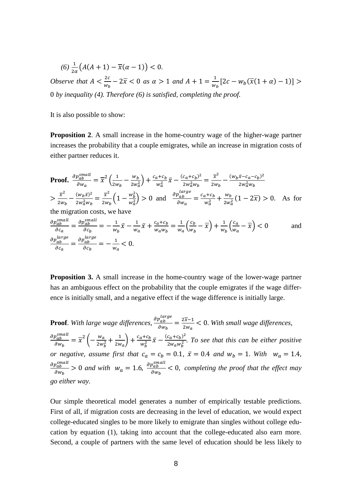$$
(6)\frac{1}{2\alpha}\big(A(A+1)-\overline{x}(\alpha-1)\big)<0.
$$

*Observe that*  $A < \frac{2c}{w_h}$  $\frac{2c}{w_b}$  − 2 $\overline{x}$  < 0 *as*  $\alpha$  > 1 *and A* + 1 =  $\frac{1}{w_b}$ [2*c* −  $w_b(\overline{x}(1 + \alpha) - 1)$ ] > 0 *by inequality (4). Therefore (6) is satisfied, completing the proof.*

It is also possible to show:

**Proposition 2**. A small increase in the home-country wage of the higher-wage partner increases the probability that a couple emigrates, while an increase in migration costs of either partner reduces it.

**Proof.** 
$$
\frac{\partial p_{ab}^{small}}{\partial w_a} = \overline{x}^2 \left( \frac{1}{2w_b} - \frac{w_b}{2w_a^2} \right) + \frac{c_a + c_b}{w_a^2} \overline{x} - \frac{(c_a + c_b)^2}{2w_a^2 w_b} = \frac{\overline{x}^2}{2w_b} - \frac{(w_b \overline{x} - c_a - c_b)^2}{2w_a^2 w_b}
$$

$$
> \frac{\overline{x}^2}{2w_b} - \frac{(w_b \overline{x})^2}{2w_a^2 w_b} = \frac{\overline{x}^2}{2w_b} \left( 1 - \frac{w_b^2}{w_a^2} \right) > 0 \text{ and } \frac{\partial p_{ab}^{large}}{\partial w_a} = \frac{c_a + c_b}{w_a^2} + \frac{w_b}{2w_a^2} \left( 1 - 2\overline{x} \right) > 0. \text{ As for the migration costs, we have}
$$

$$
\frac{\partial p_{ab}^{small}}{\partial c_a} = \frac{\partial p_{ab}^{small}}{\partial c_b} = -\frac{1}{w_b} \bar{x} - \frac{1}{w_a} \bar{x} + \frac{c_a + c_b}{w_a w_b} = \frac{1}{w_a} \left( \frac{c_b}{w_b} - \bar{x} \right) + \frac{1}{w_b} \left( \frac{c_a}{w_a} - \bar{x} \right) < 0 \quad \text{and} \quad \frac{\partial p_{ab}^{large}}{\partial c_a} = \frac{\partial p_{ab}^{large}}{\partial c_b} = -\frac{1}{w_a} < 0.
$$

**Proposition 3.** A small increase in the home-country wage of the lower-wage partner has an ambiguous effect on the probability that the couple emigrates if the wage difference is initially small, and a negative effect if the wage difference is initially large.

**Proof**. *With large wage differences,*  $\frac{p_{ab}}{\partial w_b} = \frac{2x-1}{2w_a} < 0$ . With small wage differences,  $\partial p_{ab}^{small}$  $\frac{\partial_{ab}^{small}}{\partial w_b} = \overline{x}^2 \left( -\frac{w_a}{2w_b^2} + \frac{1}{2w_a} \right) + \frac{c_a + c_b}{w_b^2} \overline{x} - \frac{(c_a + c_b)^2}{2w_a w_b^2}$ . To see that this can be either positive *or negative, assume first that*  $c_a = c_b = 0.1$ ,  $\bar{x} = 0.4$  *and*  $w_b = 1$ . *With*  $w_a = 1.4$ ,  $\partial p_{ab}^{small}$  $\frac{\partial p_{ab}^{small}}{\partial w_b} > 0$  and with  $w_a = 1.6$ ,  $\frac{\partial p_{ab}^{small}}{\partial w_b}$  $\frac{\partial^2 a b}{\partial w_b}$  < 0, *completing the proof that the effect may go either way.*

Our simple theoretical model generates a number of empirically testable predictions. First of all, if migration costs are decreasing in the level of education, we would expect college-educated singles to be more likely to emigrate than singles without college education by equation (1), taking into account that the college-educated also earn more. Second, a couple of partners with the same level of education should be less likely to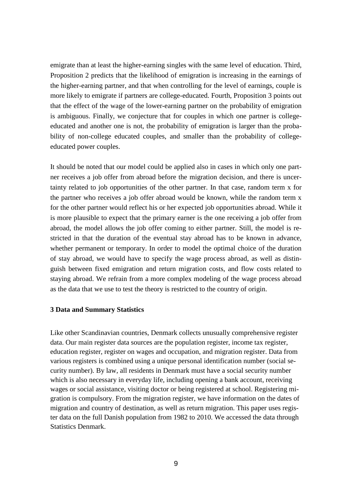emigrate than at least the higher-earning singles with the same level of education. Third, Proposition 2 predicts that the likelihood of emigration is increasing in the earnings of the higher-earning partner, and that when controlling for the level of earnings, couple is more likely to emigrate if partners are college-educated. Fourth, Proposition 3 points out that the effect of the wage of the lower-earning partner on the probability of emigration is ambiguous. Finally, we conjecture that for couples in which one partner is collegeeducated and another one is not, the probability of emigration is larger than the probability of non-college educated couples, and smaller than the probability of collegeeducated power couples.

It should be noted that our model could be applied also in cases in which only one partner receives a job offer from abroad before the migration decision, and there is uncertainty related to job opportunities of the other partner. In that case, random term x for the partner who receives a job offer abroad would be known, while the random term x for the other partner would reflect his or her expected job opportunities abroad. While it is more plausible to expect that the primary earner is the one receiving a job offer from abroad, the model allows the job offer coming to either partner. Still, the model is restricted in that the duration of the eventual stay abroad has to be known in advance, whether permanent or temporary. In order to model the optimal choice of the duration of stay abroad, we would have to specify the wage process abroad, as well as distinguish between fixed emigration and return migration costs, and flow costs related to staying abroad. We refrain from a more complex modeling of the wage process abroad as the data that we use to test the theory is restricted to the country of origin.

# **3 Data and Summary Statistics**

Like other Scandinavian countries, Denmark collects unusually comprehensive register data. Our main register data sources are the population register, income tax register, education register, register on wages and occupation, and migration register. Data from various registers is combined using a unique personal identification number (social security number). By law, all residents in Denmark must have a social security number which is also necessary in everyday life, including opening a bank account, receiving wages or social assistance, visiting doctor or being registered at school. Registering migration is compulsory. From the migration register, we have information on the dates of migration and country of destination, as well as return migration. This paper uses register data on the full Danish population from 1982 to 2010. We accessed the data through Statistics Denmark.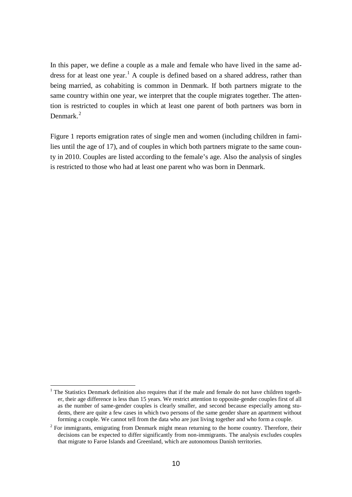In this paper, we define a couple as a male and female who have lived in the same ad-dress for at least one year.<sup>[1](#page-5-0)</sup> A couple is defined based on a shared address, rather than being married, as cohabiting is common in Denmark. If both partners migrate to the same country within one year, we interpret that the couple migrates together. The attention is restricted to couples in which at least one parent of both partners was born in Denmark<sup>[2](#page-9-0)</sup>

Figure 1 reports emigration rates of single men and women (including children in families until the age of 17), and of couples in which both partners migrate to the same county in 2010. Couples are listed according to the female's age. Also the analysis of singles is restricted to those who had at least one parent who was born in Denmark.

 $1$  The Statistics Denmark definition also requires that if the male and female do not have children together, their age difference is less than 15 years. We restrict attention to opposite-gender couples first of all as the number of same-gender couples is clearly smaller, and second because especially among students, there are quite a few cases in which two persons of the same gender share an apartment without forming a couple. We cannot tell from the data who are just living together and who form a couple.

<span id="page-9-0"></span> $2$  For immigrants, emigrating from Denmark might mean returning to the home country. Therefore, their decisions can be expected to differ significantly from non-immigrants. The analysis excludes couples that migrate to Faroe Islands and Greenland, which are autonomous Danish territories.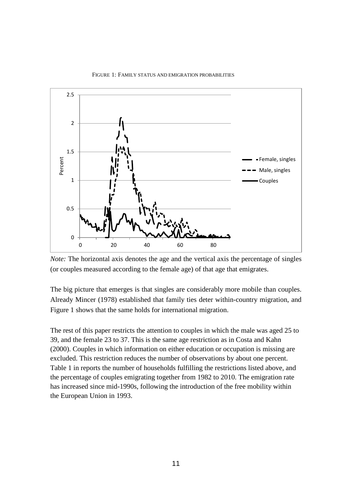

#### FIGURE 1: FAMILY STATUS AND EMIGRATION PROBABILITIES

*Note:* The horizontal axis denotes the age and the vertical axis the percentage of singles (or couples measured according to the female age) of that age that emigrates.

The big picture that emerges is that singles are considerably more mobile than couples. Already Mincer (1978) established that family ties deter within-country migration, and Figure 1 shows that the same holds for international migration.

The rest of this paper restricts the attention to couples in which the male was aged 25 to 39, and the female 23 to 37. This is the same age restriction as in Costa and Kahn (2000). Couples in which information on either education or occupation is missing are excluded. This restriction reduces the number of observations by about one percent. Table 1 in reports the number of households fulfilling the restrictions listed above, and the percentage of couples emigrating together from 1982 to 2010. The emigration rate has increased since mid-1990s, following the introduction of the free mobility within the European Union in 1993.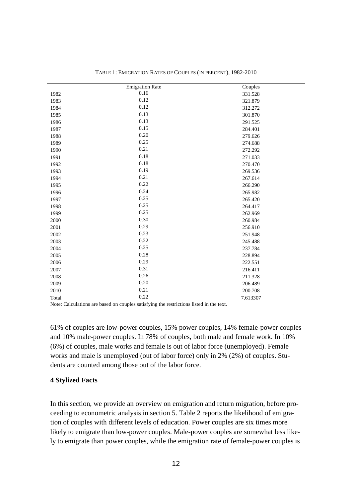|       | <b>Emigration Rate</b> | Couples  |
|-------|------------------------|----------|
| 1982  | 0.16                   | 331.528  |
| 1983  | 0.12                   | 321.879  |
| 1984  | 0.12                   | 312.272  |
| 1985  | 0.13                   | 301.870  |
| 1986  | 0.13                   | 291.525  |
| 1987  | 0.15                   | 284.401  |
| 1988  | 0.20                   | 279.626  |
| 1989  | 0.25                   | 274.688  |
| 1990  | 0.21                   | 272.292  |
| 1991  | 0.18                   | 271.033  |
| 1992  | 0.18                   | 270.470  |
| 1993  | 0.19                   | 269.536  |
| 1994  | 0.21                   | 267.614  |
| 1995  | 0.22                   | 266.290  |
| 1996  | 0.24                   | 265.982  |
| 1997  | 0.25                   | 265.420  |
| 1998  | 0.25                   | 264.417  |
| 1999  | 0.25                   | 262.969  |
| 2000  | 0.30                   | 260.984  |
| 2001  | 0.29                   | 256.910  |
| 2002  | 0.23                   | 251.948  |
| 2003  | 0.22                   | 245.488  |
| 2004  | 0.25                   | 237.784  |
| 2005  | 0.28                   | 228.894  |
| 2006  | 0.29                   | 222.551  |
| 2007  | 0.31                   | 216.411  |
| 2008  | 0.26                   | 211.328  |
| 2009  | 0.20                   | 206.489  |
| 2010  | 0.21                   | 200.708  |
| Total | 0.22                   | 7.613307 |

TABLE 1: EMIGRATION RATES OF COUPLES (IN PERCENT), 1982-2010

Note: Calculations are based on couples satisfying the restrictions listed in the text.

61% of couples are low-power couples, 15% power couples, 14% female-power couples and 10% male-power couples. In 78% of couples, both male and female work. In 10% (6%) of couples, male works and female is out of labor force (unemployed). Female works and male is unemployed (out of labor force) only in 2% (2%) of couples. Students are counted among those out of the labor force.

# **Stylized Facts**

In this section, we provide an overview on emigration and return migration, before proceeding to econometric analysis in section 5. Table 2 reports the likelihood of emigration of couples with different levels of education. Power couples are six times more likely to emigrate than low-power couples. Male-power couples are somewhat less likely to emigrate than power couples, while the emigration rate of female-power couples is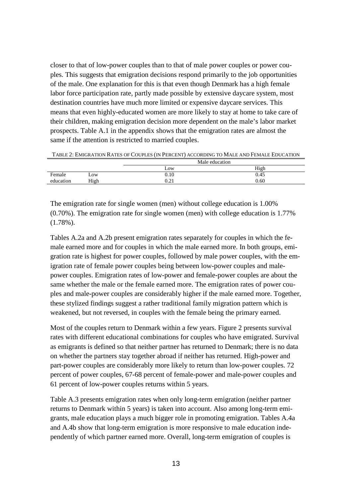closer to that of low-power couples than to that of male power couples or power couples. This suggests that emigration decisions respond primarily to the job opportunities of the male. One explanation for this is that even though Denmark has a high female labor force participation rate, partly made possible by extensive daycare system, most destination countries have much more limited or expensive daycare services. This means that even highly-educated women are more likely to stay at home to take care of their children, making emigration decision more dependent on the male's labor market prospects. Table A.1 in the appendix shows that the emigration rates are almost the same if the attention is restricted to married couples.

| High<br>Low                                       |  |
|---------------------------------------------------|--|
|                                                   |  |
| Female<br>0.45<br>0.10<br>$-0W$                   |  |
| 0.60<br>High<br>$^{\circ}$ 1<br>education<br>∪.∠⊥ |  |

TABLE 2: EMIGRATION RATES OF COUPLES (IN PERCENT) ACCORDING TO MALE AND FEMALE EDUCATION

The emigration rate for single women (men) without college education is 1.00% (0.70%). The emigration rate for single women (men) with college education is 1.77% (1.78%).

Tables A.2a and A.2b present emigration rates separately for couples in which the female earned more and for couples in which the male earned more. In both groups, emigration rate is highest for power couples, followed by male power couples, with the emigration rate of female power couples being between low-power couples and malepower couples. Emigration rates of low-power and female-power couples are about the same whether the male or the female earned more. The emigration rates of power couples and male-power couples are considerably higher if the male earned more. Together, these stylized findings suggest a rather traditional family migration pattern which is weakened, but not reversed, in couples with the female being the primary earned.

Most of the couples return to Denmark within a few years. Figure 2 presents survival rates with different educational combinations for couples who have emigrated. Survival as emigrants is defined so that neither partner has returned to Denmark; there is no data on whether the partners stay together abroad if neither has returned. High-power and part-power couples are considerably more likely to return than low-power couples. 72 percent of power couples, 67-68 percent of female-power and male-power couples and 61 percent of low-power couples returns within 5 years.

Table A.3 presents emigration rates when only long-term emigration (neither partner returns to Denmark within 5 years) is taken into account. Also among long-term emigrants, male education plays a much bigger role in promoting emigration. Tables A.4a and A.4b show that long-term emigration is more responsive to male education independently of which partner earned more. Overall, long-term emigration of couples is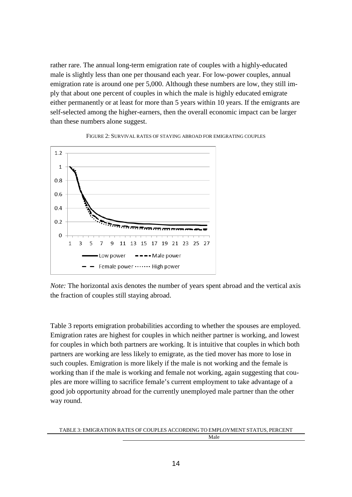rather rare. The annual long-term emigration rate of couples with a highly-educated male is slightly less than one per thousand each year. For low-power couples, annual emigration rate is around one per 5,000. Although these numbers are low, they still imply that about one percent of couples in which the male is highly educated emigrate either permanently or at least for more than 5 years within 10 years. If the emigrants are self-selected among the higher-earners, then the overall economic impact can be larger than these numbers alone suggest.





*Note:* The horizontal axis denotes the number of years spent abroad and the vertical axis the fraction of couples still staying abroad.

Table 3 reports emigration probabilities according to whether the spouses are employed. Emigration rates are highest for couples in which neither partner is working, and lowest for couples in which both partners are working. It is intuitive that couples in which both partners are working are less likely to emigrate, as the tied mover has more to lose in such couples. Emigration is more likely if the male is not working and the female is working than if the male is working and female not working, again suggesting that couples are more willing to sacrifice female's current employment to take advantage of a good job opportunity abroad for the currently unemployed male partner than the other way round.

TABLE 3: EMIGRATION RATES OF COUPLES ACCORDING TO EMPLOYMENT STATUS, PERCENT Male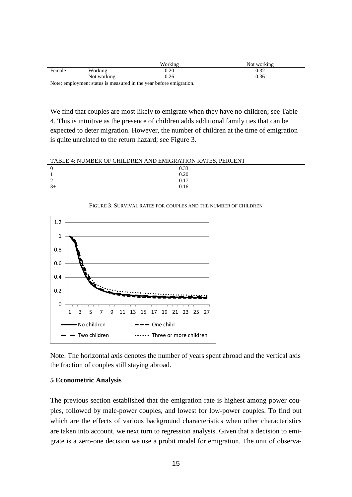|               |             | Working            | Not working  |
|---------------|-------------|--------------------|--------------|
| Female        | Working     | $0.20\,$           | ገ 2つ<br>0.JZ |
|               | Not working | 0.26               | 0.36         |
| $\sim$ $\sim$ |             | .<br>$\sim$ $\sim$ |              |

Note: employment status is measured in the year before emigration.

We find that couples are most likely to emigrate when they have no children; see Table 4. This is intuitive as the presence of children adds additional family ties that can be expected to deter migration. However, the number of children at the time of emigration is quite unrelated to the return hazard; see Figure 3.

| TABLE 4: NUMBER OF CHILDREN AND EMIGRATION RATES, PERCENT |  |  |
|-----------------------------------------------------------|--|--|
|                                                           |  |  |

|   | $\overline{0.33}$<br>0.20<br>0.17<br>0.16 |  |
|---|-------------------------------------------|--|
|   |                                           |  |
|   |                                           |  |
| ◡ |                                           |  |
|   |                                           |  |



FIGURE 3: SURVIVAL RATES FOR COUPLES AND THE NUMBER OF CHILDREN

Note: The horizontal axis denotes the number of years spent abroad and the vertical axis the fraction of couples still staying abroad.

# **5 Econometric Analysis**

The previous section established that the emigration rate is highest among power couples, followed by male-power couples, and lowest for low-power couples. To find out which are the effects of various background characteristics when other characteristics are taken into account, we next turn to regression analysis. Given that a decision to emigrate is a zero-one decision we use a probit model for emigration. The unit of observa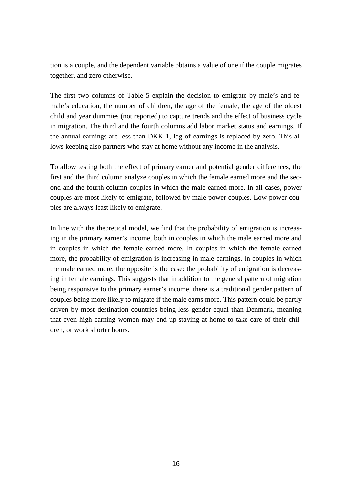tion is a couple, and the dependent variable obtains a value of one if the couple migrates together, and zero otherwise.

The first two columns of Table 5 explain the decision to emigrate by male's and female's education, the number of children, the age of the female, the age of the oldest child and year dummies (not reported) to capture trends and the effect of business cycle in migration. The third and the fourth columns add labor market status and earnings. If the annual earnings are less than DKK 1, log of earnings is replaced by zero. This allows keeping also partners who stay at home without any income in the analysis.

To allow testing both the effect of primary earner and potential gender differences, the first and the third column analyze couples in which the female earned more and the second and the fourth column couples in which the male earned more. In all cases, power couples are most likely to emigrate, followed by male power couples. Low-power couples are always least likely to emigrate.

In line with the theoretical model, we find that the probability of emigration is increasing in the primary earner's income, both in couples in which the male earned more and in couples in which the female earned more. In couples in which the female earned more, the probability of emigration is increasing in male earnings. In couples in which the male earned more, the opposite is the case: the probability of emigration is decreasing in female earnings. This suggests that in addition to the general pattern of migration being responsive to the primary earner's income, there is a traditional gender pattern of couples being more likely to migrate if the male earns more. This pattern could be partly driven by most destination countries being less gender-equal than Denmark, meaning that even high-earning women may end up staying at home to take care of their children, or work shorter hours.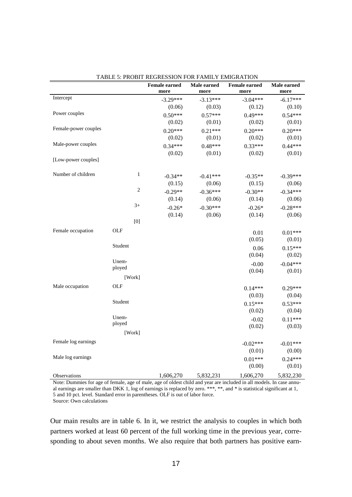|                      |                | TRODIT REGRESSION FOR FAMILI EMIGRATION<br><b>Female earned</b> | Male earned | <b>Female earned</b> | Male earned |
|----------------------|----------------|-----------------------------------------------------------------|-------------|----------------------|-------------|
|                      |                | more                                                            | more        | more                 | more        |
| Intercept            |                | $-3.29***$                                                      | $-3.13***$  | $-3.04***$           | $-6.17***$  |
|                      |                | (0.06)                                                          | (0.03)      | (0.12)               | (0.10)      |
| Power couples        |                | $0.50***$                                                       | $0.57***$   | $0.49***$            | $0.54***$   |
|                      |                | (0.02)                                                          | (0.01)      | (0.02)               | (0.01)      |
| Female-power couples |                | $0.20***$                                                       | $0.21***$   | $0.20***$            | $0.20***$   |
|                      |                | (0.02)                                                          | (0.01)      | (0.02)               | (0.01)      |
| Male-power couples   |                | $0.34***$                                                       | $0.48***$   | $0.33***$            | $0.44***$   |
|                      |                | (0.02)                                                          | (0.01)      | (0.02)               | (0.01)      |
| [Low-power couples]  |                |                                                                 |             |                      |             |
| Number of children   | $\mathbf{1}$   | $-0.34**$                                                       | $-0.41***$  | $-0.35**$            | $-0.39***$  |
|                      |                | (0.15)                                                          | (0.06)      | (0.15)               | (0.06)      |
|                      | $\overline{c}$ | $-0.29**$                                                       | $-0.36***$  | $-0.30**$            | $-0.34***$  |
|                      |                | (0.14)                                                          | (0.06)      | (0.14)               | (0.06)      |
|                      | $3+$           | $-0.26*$                                                        | $-0.30***$  | $-0.26*$             | $-0.28***$  |
|                      |                | (0.14)                                                          | (0.06)      | (0.14)               | (0.06)      |
|                      | [0]            |                                                                 |             |                      |             |
| Female occupation    | OLF            |                                                                 |             | 0.01                 | $0.01***$   |
|                      |                |                                                                 |             | (0.05)               | (0.01)      |
|                      | Student        |                                                                 |             | 0.06                 | $0.15***$   |
|                      |                |                                                                 |             | (0.04)               | (0.02)      |
|                      | Unem-          |                                                                 |             | $-0.00$              | $-0.04***$  |
|                      | ployed         |                                                                 |             | (0.04)               | (0.01)      |
|                      | [Work]         |                                                                 |             |                      |             |
| Male occupation      | OLF            |                                                                 |             | $0.14***$            | $0.29***$   |
|                      |                |                                                                 |             | (0.03)               | (0.04)      |
|                      | Student        |                                                                 |             | $0.15***$            | $0.53***$   |
|                      |                |                                                                 |             | (0.02)               | (0.04)      |
|                      | Unem-          |                                                                 |             | $-0.02$              | $0.11***$   |
|                      | ployed         |                                                                 |             | (0.02)               | (0.03)      |
|                      | [Work]         |                                                                 |             |                      |             |
| Female log earnings  |                |                                                                 |             | $-0.02***$           | $-0.01***$  |
|                      |                |                                                                 |             | (0.01)               | (0.00)      |
| Male log earnings    |                |                                                                 |             | $0.01***$            | $0.24***$   |
|                      |                |                                                                 |             | (0.00)               | (0.01)      |
| Observations         |                | 1,606,270                                                       | 5,832,231   | 1,606,270            | 5,832,230   |

| <b>TABLE 5: PROBIT REGRESSION FOR FAMILY EMIGRATION</b> |
|---------------------------------------------------------|
|---------------------------------------------------------|

Note: Dummies for age of female, age of male, age of oldest child and year are included in all models. In case annual earnings are smaller than DKK 1, log of earnings is replaced by zero. \*\*\*, \*\*, and \* is statistical significant at 1, 5 and 10 pct. level. Standard error in parentheses. OLF is out of labor force. Source: Own calculations

Our main results are in table 6. In it, we restrict the analysis to couples in which both partners worked at least 60 percent of the full working time in the previous year, corresponding to about seven months. We also require that both partners has positive earn-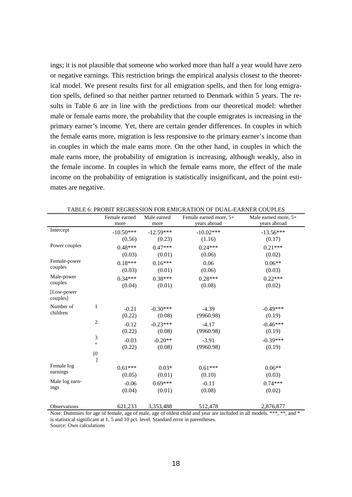ings; it is not plausible that someone who worked more than half a year would have zero or negative earnings. This restriction brings the empirical analysis closest to the theoretical model. We present results first for all emigration spells, and then for long emigration spells, defined so that neither partner returned to Denmark within 5 years. The results in Table 6 are in line with the predictions from our theoretical model: whether male or female earns more, the probability that the couple emigrates is increasing in the primary earner's income. Yet, there are certain gender differences. In couples in which the female earns more, migration is less responsive to the primary earner's income than in couples in which the male earns more. On the other hand, in couples in which the male earns more, the probability of emigration is increasing, although weakly, also in the female income. In couples in which the female earns more, the effect of the male income on the probability of emigration is statistically insignificant, and the point estimates are negative.

|                         |            | Female earned<br>more | Male earned<br>more   | Female earned more, 5+<br>years abroad                                                                                        | Male earned more, $5+$<br>years abroad |
|-------------------------|------------|-----------------------|-----------------------|-------------------------------------------------------------------------------------------------------------------------------|----------------------------------------|
| Intercept               |            | $-10.50***$<br>(0.56) | $-12.59***$<br>(0.23) | $-10.02***$<br>(1.16)                                                                                                         | $-13.56***$<br>(0.17)                  |
| Power couples           |            | $0.48***$<br>(0.03)   | $0.47***$<br>(0.01)   | $0.24***$<br>(0.06)                                                                                                           | $0.21***$<br>(0.02)                    |
| Female-power<br>couples |            | $0.18***$<br>(0.03)   | $0.16***$<br>(0.01)   | 0.06<br>(0.06)                                                                                                                | $0.06**$<br>(0.03)                     |
| Male-power<br>couples   |            | $0.34***$<br>(0.04)   | $0.38***$<br>(0.01)   | $0.28***$<br>(0.08)                                                                                                           | $0.22***$<br>(0.02)                    |
| [Low-power]<br>couples] |            |                       |                       |                                                                                                                               |                                        |
| Number of<br>children   | 1          | $-0.21$<br>(0.22)     | $-0.30***$<br>(0.08)  | $-4.39$<br>(9960.98)                                                                                                          | $-0.49***$<br>(0.19)                   |
|                         | $\sqrt{2}$ | $-0.12$<br>(0.22)     | $-0.23***$<br>(0.08)  | $-4.17$<br>(9960.98)                                                                                                          | $-0.46***$<br>(0.19)                   |
|                         | 3          | $-0.03$<br>(0.22)     | $-0.20**$<br>(0.08)   | $-3.91$<br>(9960.98)                                                                                                          | $-0.39***$<br>(0.19)                   |
|                         | [0]<br>1   |                       |                       |                                                                                                                               |                                        |
| Female log<br>earnings  |            | $0.61***$<br>(0.05)   | $0.03*$<br>(0.01)     | $0.61***$<br>(0.10)                                                                                                           | $0.06**$<br>(0.03)                     |
| Male log earn-<br>ings  |            | $-0.06$<br>(0.04)     | $0.69***$<br>(0.01)   | $-0.11$<br>(0.08)                                                                                                             | $0.74***$<br>(0.02)                    |
| Observations            |            | 621,233               | 3,353,488             | 512,478<br>Note: Dummies for age of female, age of male, age of oldest child and year are included in all models *** ** and * | 2,876,877                              |

| TABLE 6: PROBIT REGRESSION FOR EMIGRATION OF DUAL-EARNER COUPLES |
|------------------------------------------------------------------|
|------------------------------------------------------------------|

Note: Dummies for age of female, age of male, age of oldest child and year are included in all models. \*\*\*, \*\*, and is statistical significant at 1, 5 and 10 pct. level. Standard error in parentheses.

Source: Own calculations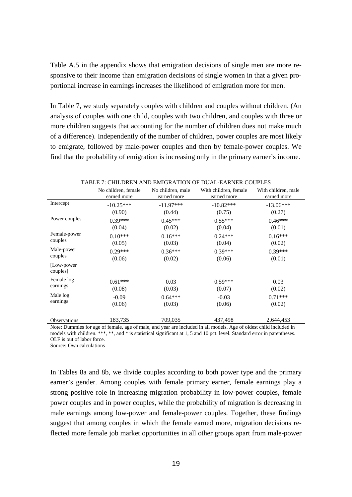Table A.5 in the appendix shows that emigration decisions of single men are more responsive to their income than emigration decisions of single women in that a given proportional increase in earnings increases the likelihood of emigration more for men.

In Table 7, we study separately couples with children and couples without children. (An analysis of couples with one child, couples with two children, and couples with three or more children suggests that accounting for the number of children does not make much of a difference). Independently of the number of children, power couples are most likely to emigrate, followed by male-power couples and then by female-power couples. We find that the probability of emigration is increasing only in the primary earner's income.

|                         | No children, female | No children, male | With children, female | With children, male |
|-------------------------|---------------------|-------------------|-----------------------|---------------------|
|                         | earned more         | earned more       | earned more           | earned more         |
| Intercept               | $-10.25***$         | $-11.97***$       | $-10.82***$           | $-13.06***$         |
|                         | (0.90)              | (0.44)            | (0.75)                | (0.27)              |
| Power couples           | $0.39***$           | $0.45***$         | $0.55***$             | $0.46***$           |
|                         | (0.04)              | (0.02)            | (0.04)                | (0.01)              |
| Female-power            | $0.10***$           | $0.16***$         | $0.24***$             | $0.16***$           |
| couples                 | (0.05)              | (0.03)            | (0.04)                | (0.02)              |
| Male-power              | $0.29***$           | $0.36***$         | $0.39***$             | $0.39***$           |
| couples                 | (0.06)              | (0.02)            | (0.06)                | (0.01)              |
| [Low-power]<br>couples] |                     |                   |                       |                     |
| Female log              | $0.61***$           | 0.03              | $0.59***$             | 0.03                |
| earnings                | (0.08)              | (0.03)            | (0.07)                | (0.02)              |
| Male log                | $-0.09$             | $0.64***$         | $-0.03$               | $0.71***$           |
| earnings                | (0.06)              | (0.03)            | (0.06)                | (0.02)              |
| Observations            | 183,735             | 709,035           | 437,498               | 2,644,453           |

Note: Dummies for age of female, age of male, and year are included in all models. Age of oldest child included in models with children. \*\*\*, \*\*, and \* is statistical significant at 1, 5 and 10 pct. level. Standard error in parentheses. OLF is out of labor force.

Source: Own calculations

In Tables 8a and 8b, we divide couples according to both power type and the primary earner's gender. Among couples with female primary earner, female earnings play a strong positive role in increasing migration probability in low-power couples, female power couples and in power couples, while the probability of migration is decreasing in male earnings among low-power and female-power couples. Together, these findings suggest that among couples in which the female earned more, migration decisions reflected more female job market opportunities in all other groups apart from male-power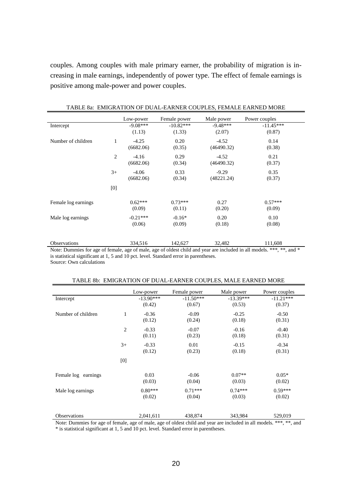couples. Among couples with male primary earner, the probability of migration is increasing in male earnings, independently of power type. The effect of female earnings is positive among male-power and power couples.

|                                              |                | Low-power                                                                                                                                                                                                                                                                                                                                                   | Female power       | Male power | Power couples                        |
|----------------------------------------------|----------------|-------------------------------------------------------------------------------------------------------------------------------------------------------------------------------------------------------------------------------------------------------------------------------------------------------------------------------------------------------------|--------------------|------------|--------------------------------------|
| Intercept                                    |                | $-9.08***$                                                                                                                                                                                                                                                                                                                                                  | $-10.82***$        | $-9.48***$ | $-11.45***$                          |
|                                              |                | (1.13)                                                                                                                                                                                                                                                                                                                                                      | (1.33)             | (2.07)     | (0.87)                               |
| Number of children                           | 1              | $-4.25$                                                                                                                                                                                                                                                                                                                                                     | 0.20               | $-4.52$    | 0.14                                 |
|                                              |                | (6682.06)                                                                                                                                                                                                                                                                                                                                                   | (0.35)             | (46490.32) | (0.38)                               |
|                                              | $\overline{2}$ | $-4.16$                                                                                                                                                                                                                                                                                                                                                     | 0.29               | $-4.52$    | 0.21                                 |
|                                              |                | (6682.06)                                                                                                                                                                                                                                                                                                                                                   | (0.34)             | (46490.32) | (0.37)                               |
|                                              | $3+$           | $-4.06$                                                                                                                                                                                                                                                                                                                                                     | 0.33               | $-9.29$    | 0.35                                 |
|                                              |                | (6682.06)                                                                                                                                                                                                                                                                                                                                                   | (0.34)             | (48221.24) | (0.37)                               |
|                                              | [0]            |                                                                                                                                                                                                                                                                                                                                                             |                    |            |                                      |
| Female log earnings                          |                | $0.62***$                                                                                                                                                                                                                                                                                                                                                   | $0.73***$          | 0.27       | $0.57***$                            |
|                                              |                | (0.09)                                                                                                                                                                                                                                                                                                                                                      | (0.11)             | (0.20)     | (0.09)                               |
| Male log earnings                            |                | $-0.21***$                                                                                                                                                                                                                                                                                                                                                  | $-0.16*$           | 0.20       | 0.10                                 |
|                                              |                | (0.06)                                                                                                                                                                                                                                                                                                                                                      | (0.09)             | (0.18)     | (0.08)                               |
|                                              |                |                                                                                                                                                                                                                                                                                                                                                             |                    |            |                                      |
| Observations                                 |                | 334,516                                                                                                                                                                                                                                                                                                                                                     | 142,627            | 32,482     | 111,608                              |
| $\mathbf{M}$ is $\mathbf{D}$ in $\mathbf{C}$ | $c \cdot 1$    | $\mathcal{C}$ $\mathcal{C}$ $\mathcal{C}$ $\mathcal{C}$ $\mathcal{C}$ $\mathcal{C}$ $\mathcal{C}$ $\mathcal{C}$ $\mathcal{C}$ $\mathcal{C}$ $\mathcal{C}$ $\mathcal{C}$ $\mathcal{C}$ $\mathcal{C}$ $\mathcal{C}$ $\mathcal{C}$ $\mathcal{C}$ $\mathcal{C}$ $\mathcal{C}$ $\mathcal{C}$ $\mathcal{C}$ $\mathcal{C}$ $\mathcal{C}$ $\mathcal{C}$ $\mathcal{$ | $-0.11 - 1.11 - 1$ |            | $1 + 1 + 1 + 11 + 11 + 11 + 11 + 11$ |

TABLE 8a: EMIGRATION OF DUAL-EARNER COUPLES, FEMALE EARNED MORE

Note: Dummies for age of female, age of male, age of oldest child and year are included in all models. \*\*\*, \*\*, and \* is statistical significant at 1, 5 and 10 pct. level. Standard error in parentheses. Source: Own calculations

|                     |                | Low-power             | Female power          | Male power            | Power couples         |
|---------------------|----------------|-----------------------|-----------------------|-----------------------|-----------------------|
| Intercept           |                | $-13.90***$<br>(0.42) | $-11.50***$<br>(0.67) | $-13.39***$<br>(0.53) | $-11.21***$<br>(0.37) |
| Number of children  | 1              | $-0.36$<br>(0.12)     | $-0.09$<br>(0.24)     | $-0.25$<br>(0.18)     | $-0.50$<br>(0.31)     |
|                     | $\overline{2}$ | $-0.33$<br>(0.11)     | $-0.07$<br>(0.23)     | $-0.16$<br>(0.18)     | $-0.40$<br>(0.31)     |
|                     | $3+$           | $-0.33$<br>(0.12)     | 0.01<br>(0.23)        | $-0.15$<br>(0.18)     | $-0.34$<br>(0.31)     |
|                     | [0]            |                       |                       |                       |                       |
| Female log earnings |                | 0.03<br>(0.03)        | $-0.06$<br>(0.04)     | $0.07**$<br>(0.03)    | $0.05*$<br>(0.02)     |
| Male log earnings   |                | $0.80***$<br>(0.02)   | $0.71***$<br>(0.04)   | $0.74***$<br>(0.03)   | $0.59***$<br>(0.02)   |
| <b>Observations</b> |                | 2,041,611             | 438,874               | 343,984               | 529,019               |

Note: Dummies for age of female, age of male, age of oldest child and year are included in all models. \*\*\*, \*\*, and

\* is statistical significant at 1, 5 and 10 pct. level. Standard error in parentheses.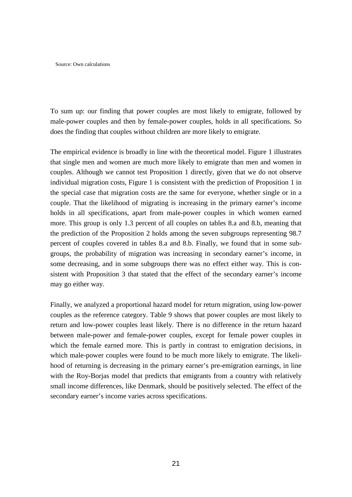Source: Own calculations

To sum up: our finding that power couples are most likely to emigrate, followed by male-power couples and then by female-power couples, holds in all specifications. So does the finding that couples without children are more likely to emigrate.

The empirical evidence is broadly in line with the theoretical model. Figure 1 illustrates that single men and women are much more likely to emigrate than men and women in couples. Although we cannot test Proposition 1 directly, given that we do not observe individual migration costs, Figure 1 is consistent with the prediction of Proposition 1 in the special case that migration costs are the same for everyone, whether single or in a couple. That the likelihood of migrating is increasing in the primary earner's income holds in all specifications, apart from male-power couples in which women earned more. This group is only 1.3 percent of all couples on tables 8.a and 8.b, meaning that the prediction of the Proposition 2 holds among the seven subgroups representing 98.7 percent of couples covered in tables 8.a and 8.b. Finally, we found that in some subgroups, the probability of migration was increasing in secondary earner's income, in some decreasing, and in some subgroups there was no effect either way. This is consistent with Proposition 3 that stated that the effect of the secondary earner's income may go either way.

Finally, we analyzed a proportional hazard model for return migration, using low-power couples as the reference category. Table 9 shows that power couples are most likely to return and low-power couples least likely. There is no difference in the return hazard between male-power and female-power couples, except for female power couples in which the female earned more. This is partly in contrast to emigration decisions, in which male-power couples were found to be much more likely to emigrate. The likelihood of returning is decreasing in the primary earner's pre-emigration earnings, in line with the Roy-Borjas model that predicts that emigrants from a country with relatively small income differences, like Denmark, should be positively selected. The effect of the secondary earner's income varies across specifications.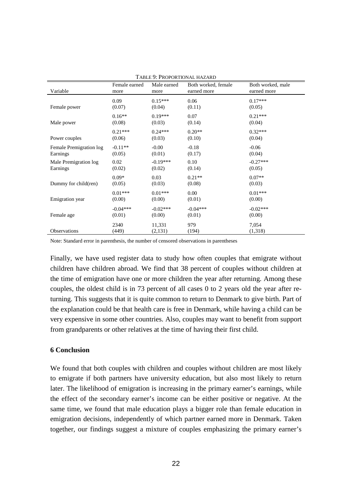| I ABLE 7. I NOFONTIONAL HAZAND |               |             |                     |                   |
|--------------------------------|---------------|-------------|---------------------|-------------------|
| Variable                       | Female earned | Male earned | Both worked, female | Both worked, male |
|                                | more          | more        | earned more         | earned more       |
| Female power                   | 0.09          | $0.15***$   | 0.06                | $0.17***$         |
|                                | (0.07)        | (0.04)      | (0.11)              | (0.05)            |
| Male power                     | $0.16**$      | $0.19***$   | 0.07                | $0.21***$         |
|                                | (0.08)        | (0.03)      | (0.14)              | (0.04)            |
| Power couples                  | $0.21***$     | $0.24***$   | $0.20**$            | $0.32***$         |
|                                | (0.06)        | (0.03)      | (0.10)              | (0.04)            |
| Female Premigration log        | $-0.11**$     | $-0.00$     | $-0.18$             | $-0.06$           |
| Earnings                       | (0.05)        | (0.01)      | (0.17)              | (0.04)            |
| Male Premigration log          | 0.02          | $-0.19***$  | 0.10                | $-0.27***$        |
| Earnings                       | (0.02)        | (0.02)      | (0.14)              | (0.05)            |
| Dummy for child(ren)           | $0.09*$       | 0.03        | $0.21**$            | $0.07**$          |
|                                | (0.05)        | (0.03)      | (0.08)              | (0.03)            |
| Emigration year                | $0.01***$     | $0.01***$   | 0.00                | $0.01***$         |
|                                | (0.00)        | (0.00)      | (0.01)              | (0.00)            |
| Female age                     | $-0.04***$    | $-0.02***$  | $-0.04***$          | $-0.02***$        |
|                                | (0.01)        | (0.00)      | (0.01)              | (0.00)            |
| Observations                   | 2340          | 11,331      | 979                 | 7,054             |
|                                | (449)         | (2, 131)    | (194)               | (1,318)           |

TABLE 0: PROPORTIONAL HAZARD

Note: Standard error in parenthesis, the number of censored observations in parentheses

Finally, we have used register data to study how often couples that emigrate without children have children abroad. We find that 38 percent of couples without children at the time of emigration have one or more children the year after returning. Among these couples, the oldest child is in 73 percent of all cases 0 to 2 years old the year after returning. This suggests that it is quite common to return to Denmark to give birth. Part of the explanation could be that health care is free in Denmark, while having a child can be very expensive in some other countries. Also, couples may want to benefit from support from grandparents or other relatives at the time of having their first child.

#### **6 Conclusion**

We found that both couples with children and couples without children are most likely to emigrate if both partners have university education, but also most likely to return later. The likelihood of emigration is increasing in the primary earner's earnings, while the effect of the secondary earner's income can be either positive or negative. At the same time, we found that male education plays a bigger role than female education in emigration decisions, independently of which partner earned more in Denmark. Taken together, our findings suggest a mixture of couples emphasizing the primary earner's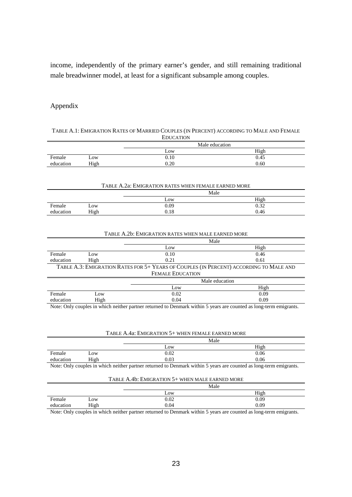income, independently of the primary earner's gender, and still remaining traditional male breadwinner model, at least for a significant subsample among couples.

# Appendix

|           |                                                 | <b>EDUCATION</b>                                                                                                   |      |  |  |
|-----------|-------------------------------------------------|--------------------------------------------------------------------------------------------------------------------|------|--|--|
|           |                                                 | Male education                                                                                                     |      |  |  |
|           |                                                 | Low                                                                                                                | High |  |  |
| Female    | Low                                             | 0.10                                                                                                               | 0.45 |  |  |
| education | High                                            | 0.20                                                                                                               | 0.60 |  |  |
|           |                                                 |                                                                                                                    |      |  |  |
|           |                                                 |                                                                                                                    |      |  |  |
|           |                                                 | TABLE A.2a: EMIGRATION RATES WHEN FEMALE EARNED MORE                                                               |      |  |  |
|           | Male                                            |                                                                                                                    |      |  |  |
|           |                                                 | Low                                                                                                                | High |  |  |
| Female    | Low                                             | 0.09                                                                                                               | 0.32 |  |  |
| education | High                                            | 0.18                                                                                                               | 0.46 |  |  |
|           |                                                 |                                                                                                                    |      |  |  |
|           |                                                 |                                                                                                                    |      |  |  |
|           |                                                 | TABLE A.2b: EMIGRATION RATES WHEN MALE EARNED MORE                                                                 |      |  |  |
|           | Male                                            |                                                                                                                    |      |  |  |
|           |                                                 | Low                                                                                                                | High |  |  |
| Female    | Low                                             | 0.10                                                                                                               | 0.46 |  |  |
| education | High                                            | 0.21                                                                                                               | 0.61 |  |  |
|           |                                                 | TABLE A.3: EMIGRATION RATES FOR 5+ YEARS OF COUPLES (IN PERCENT) ACCORDING TO MALE AND                             |      |  |  |
|           |                                                 | <b>FEMALE EDUCATION</b>                                                                                            |      |  |  |
|           |                                                 | Male education                                                                                                     |      |  |  |
|           |                                                 | Low                                                                                                                | High |  |  |
| Female    | Low                                             | 0.02                                                                                                               | 0.09 |  |  |
| education | High                                            | 0.04                                                                                                               | 0.09 |  |  |
|           |                                                 | Note: Only couples in which neither partner returned to Denmark within 5 years are counted as long-term emigrants. |      |  |  |
|           |                                                 |                                                                                                                    |      |  |  |
|           |                                                 |                                                                                                                    |      |  |  |
|           |                                                 |                                                                                                                    |      |  |  |
|           |                                                 | TABLE A.4a: EMIGRATION 5+ WHEN FEMALE EARNED MORE                                                                  |      |  |  |
|           |                                                 | Male                                                                                                               |      |  |  |
|           |                                                 | Low                                                                                                                | High |  |  |
| Female    | Low                                             | 0.02                                                                                                               | 0.06 |  |  |
| education | High                                            | 0.03                                                                                                               | 0.06 |  |  |
|           |                                                 | Note: Only couples in which neither partner returned to Denmark within 5 years are counted as long-term emigrants. |      |  |  |
|           |                                                 |                                                                                                                    |      |  |  |
|           | TABLE A.4b: EMIGRATION 5+ WHEN MALE EARNED MORE |                                                                                                                    |      |  |  |
|           |                                                 | Male                                                                                                               |      |  |  |
|           |                                                 | Low                                                                                                                | High |  |  |
| Female    | Low                                             | 0.02                                                                                                               | 0.09 |  |  |
| education | High                                            | 0.04                                                                                                               | 0.09 |  |  |

TABLE A.1: EMIGRATION RATES OF MARRIED COUPLES (IN PERCENT) ACCORDING TO MALE AND FEMALE

Note: Only couples in which neither partner returned to Denmark within 5 years are counted as long-term emigrants.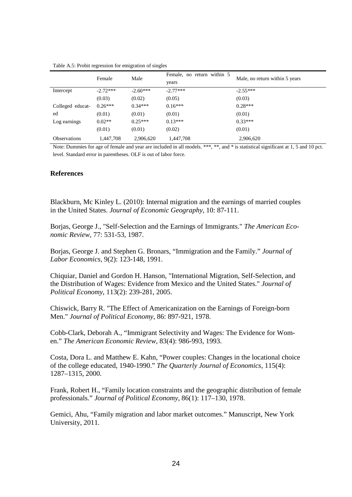|                     | Female     | Male       | Female, no return within 5 | Male, no return within 5 years |
|---------------------|------------|------------|----------------------------|--------------------------------|
|                     |            |            | years                      |                                |
| Intercept           | $-2.72***$ | $-2.60***$ | $-2.77***$                 | $-2.55***$                     |
|                     | (0.03)     | (0.02)     | (0.05)                     | (0.03)                         |
| Colleged educat-    | $0.26***$  | $0.34***$  | $0.16***$                  | $0.28***$                      |
| ed                  | (0.01)     | (0.01)     | (0.01)                     | (0.01)                         |
| Log earnings        | $0.02**$   | $0.25***$  | $0.13***$                  | $0.33***$                      |
|                     | (0.01)     | (0.01)     | (0.02)                     | (0.01)                         |
| <b>Observations</b> | 1,447,708  | 2.906.620  | 1.447.708                  | 2.906.620                      |

Table A.5: Probit regression for emigration of singles

Note: Dummies for age of female and year are included in all models. \*\*\*, \*\*, and \* is statistical significant at 1, 5 and 10 pct. level. Standard error in parentheses. OLF is out of labor force.

#### **References**

Blackburn, Mc Kinley L. (2010): Internal migration and the earnings of married couples in the United States. *Journal of Economic Geography*, 10: 87-111.

Borjas, George J., "Self-Selection and the Earnings of Immigrants." *The American Economic Review,* 77: 531-53, 1987.

Borjas, George J. and Stephen G. Bronars, "Immigration and the Family." *Journal of Labor Economics*, 9(2): 123-148, 1991.

Chiquiar, Daniel and Gordon H. Hanson, "International Migration, Self-Selection, and the Distribution of Wages: Evidence from Mexico and the United States." *Journal of Political Economy*, 113(2): 239-281, 2005.

Chiswick, Barry R. "The Effect of Americanization on the Earnings of Foreign-born Men." *Journal of Political Economy*, 86: 897-921, 1978.

Cobb-Clark, Deborah A., "Immigrant Selectivity and Wages: The Evidence for Women." *The American Economic Review*, 83(4): 986-993, 1993.

Costa, Dora L. and Matthew E. Kahn, "Power couples: Changes in the locational choice of the college educated, 1940-1990." *The Quarterly Journal of Economics*, 115(4): 1287–1315, 2000.

Frank, Robert H., "Family location constraints and the geographic distribution of female professionals." *Journal of Political Economy*, 86(1): 117–130, 1978.

Gemici, Ahu, "Family migration and labor market outcomes." Manuscript, New York University, 2011.